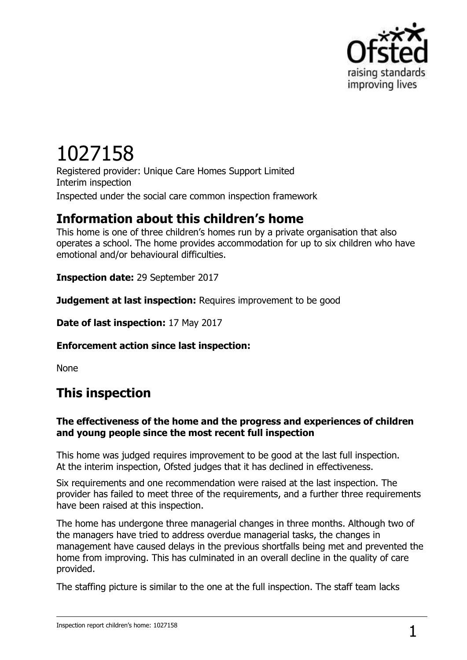

# 1027158

Registered provider: Unique Care Homes Support Limited Interim inspection Inspected under the social care common inspection framework

## **Information about this children's home**

This home is one of three children's homes run by a private organisation that also operates a school. The home provides accommodation for up to six children who have emotional and/or behavioural difficulties.

**Inspection date:** 29 September 2017

**Judgement at last inspection:** Requires improvement to be good

**Date of last inspection:** 17 May 2017

**Enforcement action since last inspection:**

None

## **This inspection**

### **The effectiveness of the home and the progress and experiences of children and young people since the most recent full inspection**

This home was judged requires improvement to be good at the last full inspection. At the interim inspection, Ofsted judges that it has declined in effectiveness.

Six requirements and one recommendation were raised at the last inspection. The provider has failed to meet three of the requirements, and a further three requirements have been raised at this inspection.

The home has undergone three managerial changes in three months. Although two of the managers have tried to address overdue managerial tasks, the changes in management have caused delays in the previous shortfalls being met and prevented the home from improving. This has culminated in an overall decline in the quality of care provided.

The staffing picture is similar to the one at the full inspection. The staff team lacks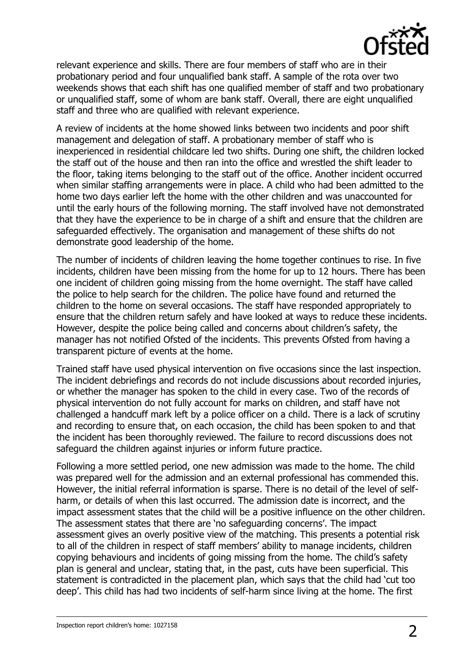

relevant experience and skills. There are four members of staff who are in their probationary period and four unqualified bank staff. A sample of the rota over two weekends shows that each shift has one qualified member of staff and two probationary or unqualified staff, some of whom are bank staff. Overall, there are eight unqualified staff and three who are qualified with relevant experience.

A review of incidents at the home showed links between two incidents and poor shift management and delegation of staff. A probationary member of staff who is inexperienced in residential childcare led two shifts. During one shift, the children locked the staff out of the house and then ran into the office and wrestled the shift leader to the floor, taking items belonging to the staff out of the office. Another incident occurred when similar staffing arrangements were in place. A child who had been admitted to the home two days earlier left the home with the other children and was unaccounted for until the early hours of the following morning. The staff involved have not demonstrated that they have the experience to be in charge of a shift and ensure that the children are safeguarded effectively. The organisation and management of these shifts do not demonstrate good leadership of the home.

The number of incidents of children leaving the home together continues to rise. In five incidents, children have been missing from the home for up to 12 hours. There has been one incident of children going missing from the home overnight. The staff have called the police to help search for the children. The police have found and returned the children to the home on several occasions. The staff have responded appropriately to ensure that the children return safely and have looked at ways to reduce these incidents. However, despite the police being called and concerns about children's safety, the manager has not notified Ofsted of the incidents. This prevents Ofsted from having a transparent picture of events at the home.

Trained staff have used physical intervention on five occasions since the last inspection. The incident debriefings and records do not include discussions about recorded injuries, or whether the manager has spoken to the child in every case. Two of the records of physical intervention do not fully account for marks on children, and staff have not challenged a handcuff mark left by a police officer on a child. There is a lack of scrutiny and recording to ensure that, on each occasion, the child has been spoken to and that the incident has been thoroughly reviewed. The failure to record discussions does not safeguard the children against injuries or inform future practice.

Following a more settled period, one new admission was made to the home. The child was prepared well for the admission and an external professional has commended this. However, the initial referral information is sparse. There is no detail of the level of selfharm, or details of when this last occurred. The admission date is incorrect, and the impact assessment states that the child will be a positive influence on the other children. The assessment states that there are 'no safeguarding concerns'. The impact assessment gives an overly positive view of the matching. This presents a potential risk to all of the children in respect of staff members' ability to manage incidents, children copying behaviours and incidents of going missing from the home. The child's safety plan is general and unclear, stating that, in the past, cuts have been superficial. This statement is contradicted in the placement plan, which says that the child had 'cut too deep'. This child has had two incidents of self-harm since living at the home. The first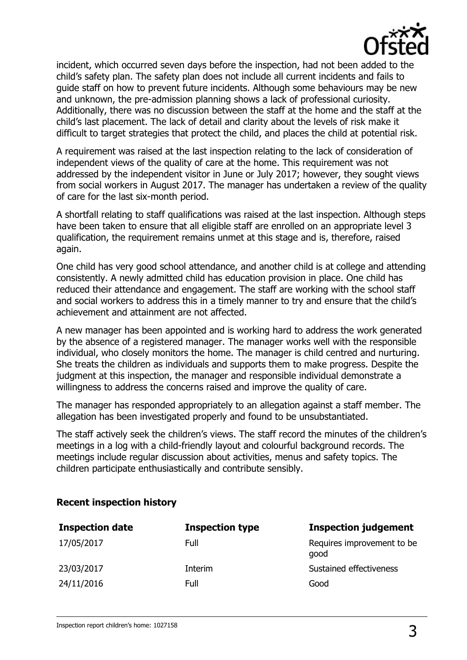

incident, which occurred seven days before the inspection, had not been added to the child's safety plan. The safety plan does not include all current incidents and fails to guide staff on how to prevent future incidents. Although some behaviours may be new and unknown, the pre-admission planning shows a lack of professional curiosity. Additionally, there was no discussion between the staff at the home and the staff at the child's last placement. The lack of detail and clarity about the levels of risk make it difficult to target strategies that protect the child, and places the child at potential risk.

A requirement was raised at the last inspection relating to the lack of consideration of independent views of the quality of care at the home. This requirement was not addressed by the independent visitor in June or July 2017; however, they sought views from social workers in August 2017. The manager has undertaken a review of the quality of care for the last six-month period.

A shortfall relating to staff qualifications was raised at the last inspection. Although steps have been taken to ensure that all eligible staff are enrolled on an appropriate level 3 qualification, the requirement remains unmet at this stage and is, therefore, raised again.

One child has very good school attendance, and another child is at college and attending consistently. A newly admitted child has education provision in place. One child has reduced their attendance and engagement. The staff are working with the school staff and social workers to address this in a timely manner to try and ensure that the child's achievement and attainment are not affected.

A new manager has been appointed and is working hard to address the work generated by the absence of a registered manager. The manager works well with the responsible individual, who closely monitors the home. The manager is child centred and nurturing. She treats the children as individuals and supports them to make progress. Despite the judgment at this inspection, the manager and responsible individual demonstrate a willingness to address the concerns raised and improve the quality of care.

The manager has responded appropriately to an allegation against a staff member. The allegation has been investigated properly and found to be unsubstantiated.

The staff actively seek the children's views. The staff record the minutes of the children's meetings in a log with a child-friendly layout and colourful background records. The meetings include regular discussion about activities, menus and safety topics. The children participate enthusiastically and contribute sensibly.

#### **Recent inspection history**

| <b>Inspection date</b> | <b>Inspection type</b> | <b>Inspection judgement</b>        |
|------------------------|------------------------|------------------------------------|
| 17/05/2017             | Full                   | Requires improvement to be<br>good |
| 23/03/2017             | Interim                | Sustained effectiveness            |
| 24/11/2016             | Full                   | Good                               |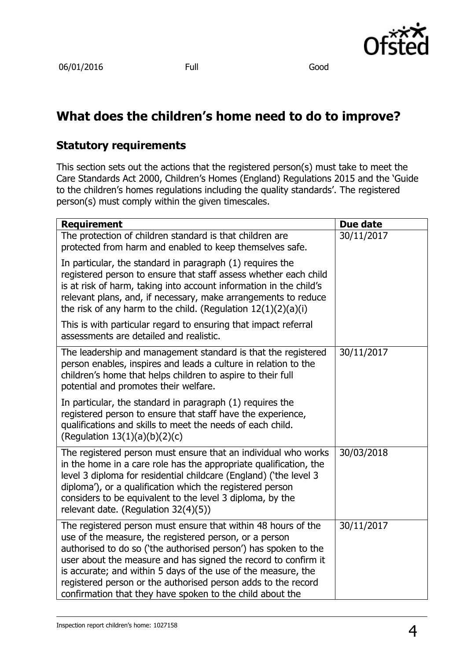

# **What does the children's home need to do to improve?**

## **Statutory requirements**

This section sets out the actions that the registered person(s) must take to meet the Care Standards Act 2000, Children's Homes (England) Regulations 2015 and the 'Guide to the children's homes regulations including the quality standards'. The registered person(s) must comply within the given timescales.

| <b>Requirement</b>                                                                                                                                                                                                                                                                                                                                                                                                                                          | Due date   |
|-------------------------------------------------------------------------------------------------------------------------------------------------------------------------------------------------------------------------------------------------------------------------------------------------------------------------------------------------------------------------------------------------------------------------------------------------------------|------------|
| The protection of children standard is that children are<br>protected from harm and enabled to keep themselves safe.                                                                                                                                                                                                                                                                                                                                        | 30/11/2017 |
| In particular, the standard in paragraph (1) requires the<br>registered person to ensure that staff assess whether each child<br>is at risk of harm, taking into account information in the child's<br>relevant plans, and, if necessary, make arrangements to reduce<br>the risk of any harm to the child. (Regulation $12(1)(2)(a)(i)$ )                                                                                                                  |            |
| This is with particular regard to ensuring that impact referral<br>assessments are detailed and realistic.                                                                                                                                                                                                                                                                                                                                                  |            |
| The leadership and management standard is that the registered<br>person enables, inspires and leads a culture in relation to the<br>children's home that helps children to aspire to their full<br>potential and promotes their welfare.                                                                                                                                                                                                                    | 30/11/2017 |
| In particular, the standard in paragraph (1) requires the<br>registered person to ensure that staff have the experience,<br>qualifications and skills to meet the needs of each child.<br>(Regulation $13(1)(a)(b)(2)(c)$                                                                                                                                                                                                                                   |            |
| The registered person must ensure that an individual who works<br>in the home in a care role has the appropriate qualification, the<br>level 3 diploma for residential childcare (England) ('the level 3<br>diploma'), or a qualification which the registered person<br>considers to be equivalent to the level 3 diploma, by the<br>relevant date. (Regulation 32(4)(5))                                                                                  | 30/03/2018 |
| The registered person must ensure that within 48 hours of the<br>use of the measure, the registered person, or a person<br>authorised to do so ('the authorised person') has spoken to the<br>user about the measure and has signed the record to confirm it<br>is accurate; and within 5 days of the use of the measure, the<br>registered person or the authorised person adds to the record<br>confirmation that they have spoken to the child about the | 30/11/2017 |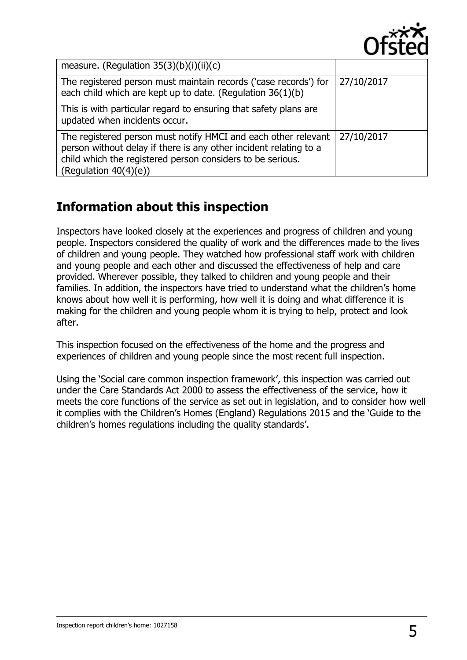

| measure. (Regulation $35(3)(b)(i)(ii)(c)$                                                                                                                                                                                     |            |
|-------------------------------------------------------------------------------------------------------------------------------------------------------------------------------------------------------------------------------|------------|
| The registered person must maintain records ('case records') for<br>each child which are kept up to date. (Regulation 36(1)(b)                                                                                                | 27/10/2017 |
| This is with particular regard to ensuring that safety plans are<br>updated when incidents occur.                                                                                                                             |            |
| The registered person must notify HMCI and each other relevant<br>person without delay if there is any other incident relating to a<br>child which the registered person considers to be serious.<br>(Regulation $40(4)(e)$ ) | 27/10/2017 |

# **Information about this inspection**

Inspectors have looked closely at the experiences and progress of children and young people. Inspectors considered the quality of work and the differences made to the lives of children and young people. They watched how professional staff work with children and young people and each other and discussed the effectiveness of help and care provided. Wherever possible, they talked to children and young people and their families. In addition, the inspectors have tried to understand what the children's home knows about how well it is performing, how well it is doing and what difference it is making for the children and young people whom it is trying to help, protect and look after.

This inspection focused on the effectiveness of the home and the progress and experiences of children and young people since the most recent full inspection.

Using the 'Social care common inspection framework', this inspection was carried out under the Care Standards Act 2000 to assess the effectiveness of the service, how it meets the core functions of the service as set out in legislation, and to consider how well it complies with the Children's Homes (England) Regulations 2015 and the 'Guide to the children's homes regulations including the quality standards'.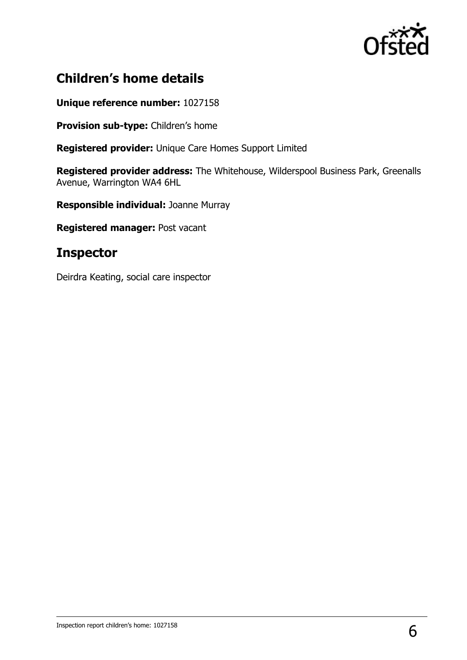

## **Children's home details**

#### **Unique reference number:** 1027158

**Provision sub-type:** Children's home

**Registered provider:** Unique Care Homes Support Limited

**Registered provider address:** The Whitehouse, Wilderspool Business Park, Greenalls Avenue, Warrington WA4 6HL

**Responsible individual:** Joanne Murray

**Registered manager:** Post vacant

## **Inspector**

Deirdra Keating, social care inspector